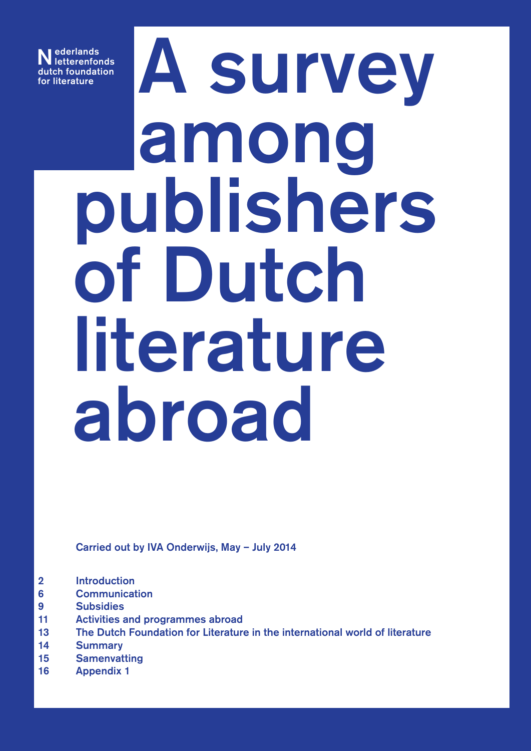Nederlands letterenfonds dutch foundation<br>for literature

# Ederlands<br>
Ch foundation<br>
literature<br>
A SUN C among publishers of Dutch literature abroad

Carried out by IVA Onderwijs, May – July 2014

- 2 [Introduction](#page-1-0)
- 6 [Communication](#page-5-0)
- 9 [Subsidies](#page-8-0)
- 11 [Activities and programmes abroad](#page-10-0)
- 13 [The Dutch Foundation for Literature in the international world of literature](#page-12-0)
- 14 [Summary](#page-13-0)
- 15 [Samenvatting](#page-14-0)
- 16 [Appendix 1](#page-15-0)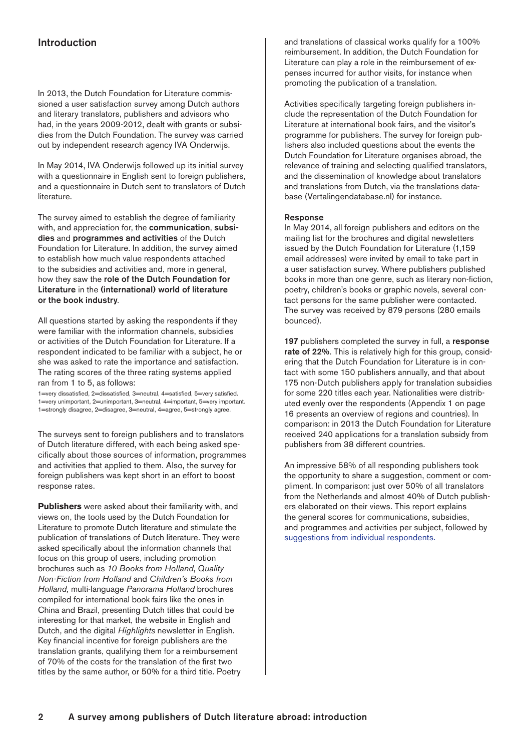# <span id="page-1-0"></span>Introduction

In 2013, the Dutch Foundation for Literature commissioned a user satisfaction survey among Dutch authors and literary translators, publishers and advisors who had, in the years 2009-2012, dealt with grants or subsidies from the Dutch Foundation. The survey was carried out by independent research agency IVA Onderwijs.

In May 2014, IVA Onderwijs followed up its initial survey with a questionnaire in English sent to foreign publishers, and a questionnaire in Dutch sent to translators of Dutch literature.

The survey aimed to establish the degree of familiarity with, and appreciation for, the communication, subsidies and programmes and activities of the Dutch Foundation for Literature. In addition, the survey aimed to establish how much value respondents attached to the subsidies and activities and, more in general, how they saw the role of the Dutch Foundation for Literature in the (international) world of literature or the book industry.

All questions started by asking the respondents if they were familiar with the information channels, subsidies or activities of the Dutch Foundation for Literature. If a respondent indicated to be familiar with a subject, he or she was asked to rate the importance and satisfaction. The rating scores of the three rating systems applied ran from 1 to 5, as follows:

1=very dissatisfied, 2=dissatisfied, 3=neutral, 4=satisfied, 5=very satisfied. 1=very unimportant, 2=unimportant, 3=neutral, 4=important, 5=very important. 1=strongly disagree, 2=disagree, 3=neutral, 4=agree, 5=strongly agree.

The surveys sent to foreign publishers and to translators of Dutch literature differed, with each being asked specifically about those sources of information, programmes and activities that applied to them. Also, the survey for foreign publishers was kept short in an effort to boost response rates.

**Publishers** were asked about their familiarity with, and views on, the tools used by the Dutch Foundation for Literature to promote Dutch literature and stimulate the publication of translations of Dutch literature. They were asked specifically about the information channels that focus on this group of users, including promotion brochures such as *10 Books from Holland*, *Quality Non-Fiction from Holland* and *Children's Books from Holland,* multi-language *Panorama Holland* brochures compiled for international book fairs like the ones in China and Brazil, presenting Dutch titles that could be interesting for that market, the website in English and Dutch, and the digital *Highlights* newsletter in English. Key financial incentive for foreign publishers are the translation grants, qualifying them for a reimbursement of 70% of the costs for the translation of the first two titles by the same author, or 50% for a third title. Poetry and translations of classical works qualify for a 100% reimbursement. In addition, the Dutch Foundation for Literature can play a role in the reimbursement of expenses incurred for author visits, for instance when promoting the publication of a translation.

Activities specifically targeting foreign publishers include the representation of the Dutch Foundation for Literature at international book fairs, and the visitor's programme for publishers. The survey for foreign publishers also included questions about the events the Dutch Foundation for Literature organises abroad, the relevance of training and selecting qualified translators, and the dissemination of knowledge about translators and translations from Dutch, via the translations database (Vertalingendatabase.nl) for instance.

### Response

In May 2014, all foreign publishers and editors on the mailing list for the brochures and digital newsletters issued by the Dutch Foundation for Literature (1,159 email addresses) were invited by email to take part in a user satisfaction survey. Where publishers published books in more than one genre, such as literary non-fiction, poetry, children's books or graphic novels, several contact persons for the same publisher were contacted. The survey was received by 879 persons (280 emails bounced).

197 publishers completed the survey in full, a response rate of 22%. This is relatively high for this group, considering that the Dutch Foundation for Literature is in contact with some 150 publishers annually, and that about 175 non-Dutch publishers apply for translation subsidies for some 220 titles each year. Nationalities were distributed evenly over the respondents (Appendix 1 on page 16 presents an overview of regions and countries). In comparison: in 2013 the Dutch Foundation for Literature received 240 applications for a translation subsidy from publishers from 38 different countries.

An impressive 58% of all responding publishers took the opportunity to share a suggestion, comment or compliment. In comparison: just over 50% of all translators from the Netherlands and almost 40% of Dutch publishers elaborated on their views. This report explains the general scores for communications, subsidies, and programmes and activities per subject, followed by suggestions from individual respondents.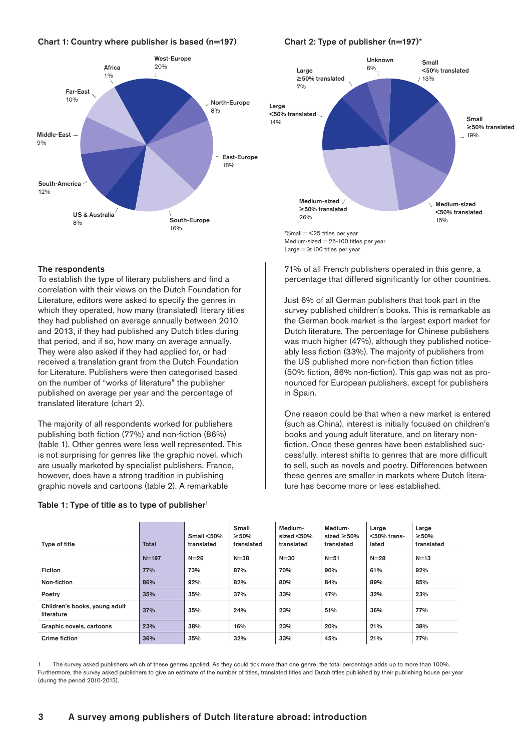# Chart 1: Country where publisher is based  $(n=197)$  Chart 2: Type of publisher  $(n=197)^*$





Medium-sized  $= 25-100$  titles per year Large  $=$   $\geq$  100 titles per year

71% of all French publishers operated in this genre, a percentage that differed significantly for other countries.

# The respondents

To establish the type of literary publishers and find a correlation with their views on the Dutch Foundation for Literature, editors were asked to specify the genres in which they operated, how many (translated) literary titles they had published on average annually between 2010 and 2013, if they had published any Dutch titles during that period, and if so, how many on average annually. They were also asked if they had applied for, or had received a translation grant from the Dutch Foundation for Literature. Publishers were then categorised based on the number of "works of literature" the publisher published on average per year and the percentage of translated literature (chart 2).

The majority of all respondents worked for publishers publishing both fiction (77%) and non-fiction (86%) (table 1). Other genres were less well represented. This is not surprising for genres like the graphic novel, which are usually marketed by specialist publishers. France, however, does have a strong tradition in publishing graphic novels and cartoons (table 2). A remarkable

### Table 1: Type of title as to type of publisher<sup>1</sup>

Just 6% of all German publishers that took part in the survey published children´s books. This is remarkable as the German book market is the largest export market for Dutch literature. The percentage for Chinese publishers was much higher (47%), although they published noticeably less fiction (33%). The majority of publishers from the US published more non-fiction than fiction titles (50% fiction, 86% non-fiction). This gap was not as pronounced for European publishers, except for publishers in Spain.

One reason could be that when a new market is entered (such as China), interest is initially focused on children's books and young adult literature, and on literary nonfiction. Once these genres have been established successfully, interest shifts to genres that are more difficult to sell, such as novels and poetry. Differences between these genres are smaller in markets where Dutch literature has become more or less established.

| Type of title                               | <b>Total</b> | Small $<$ 50%<br>translated | <b>Small</b><br>$\geq 50\%$<br>translated | Medium-<br>sized $<$ 50%<br>translated | Medium-<br>sized $\geq 50\%$<br>translated | Large<br>$<$ 50% trans-<br>lated | Large<br>$\geq 50\%$<br>translated |
|---------------------------------------------|--------------|-----------------------------|-------------------------------------------|----------------------------------------|--------------------------------------------|----------------------------------|------------------------------------|
|                                             | $N = 197$    | $N = 26$                    | $N = 38$                                  | $N = 30$                               | $N = 51$                                   | $N = 28$                         | $N=13$                             |
| <b>Fiction</b>                              | 77%          | 73%                         | 87%                                       | 70%                                    | 90%                                        | 61%                              | 92%                                |
| Non-fiction                                 | 86%          | 92%                         | 82%                                       | 80%                                    | 84%                                        | 89%                              | 85%                                |
| Poetry                                      | 35%          | 35%                         | 37%                                       | 33%                                    | 47%                                        | 32%                              | 23%                                |
| Children's books, young adult<br>literature | 37%          | 35%                         | 24%                                       | 23%                                    | 51%                                        | 36%                              | 77%                                |
| Graphic novels, cartoons                    | 23%          | 38%                         | 16%                                       | 23%                                    | 20%                                        | 21%                              | 38%                                |
| Crime fiction                               | 36%          | 35%                         | 32%                                       | 33%                                    | 45%                                        | 21%                              | 77%                                |

1 The survey asked publishers which of these genres applied. As they could tick more than one genre, the total percentage adds up to more than 100%. Furthermore, the survey asked publishers to give an estimate of the number of titles, translated titles and Dutch titles published by their publishing house per year (during the period 2010-2013).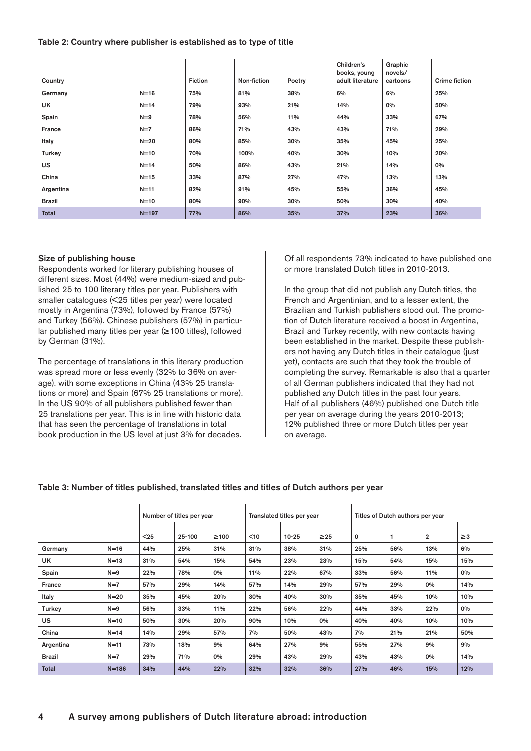# Table 2: Country where publisher is established as to type of title

|               |           |                |             |        | Children's<br>books, young | Graphic<br>novels/ |                      |
|---------------|-----------|----------------|-------------|--------|----------------------------|--------------------|----------------------|
| Country       |           | <b>Fiction</b> | Non-fiction | Poetry | adult literature           | cartoons           | <b>Crime fiction</b> |
| Germany       | $N=16$    | 75%            | 81%         | 38%    | 6%                         | 6%                 | 25%                  |
| UK            | $N = 14$  | 79%            | 93%         | 21%    | 14%                        | 0%                 | 50%                  |
| Spain         | $N=9$     | 78%            | 56%         | 11%    | 44%                        | 33%                | 67%                  |
| France        | $N=7$     | 86%            | 71%         | 43%    | 43%                        | 71%                | 29%                  |
| Italy         | $N=20$    | 80%            | 85%         | 30%    | 35%                        | 45%                | 25%                  |
| Turkey        | $N=10$    | 70%            | 100%        | 40%    | 30%                        | 10%                | 20%                  |
| <b>US</b>     | $N = 14$  | 50%            | 86%         | 43%    | 21%                        | 14%                | 0%                   |
| China         | $N=15$    | 33%            | 87%         | 27%    | 47%                        | 13%                | 13%                  |
| Argentina     | $N = 11$  | 82%            | 91%         | 45%    | 55%                        | 36%                | 45%                  |
| <b>Brazil</b> | $N=10$    | 80%            | 90%         | 30%    | 50%                        | 30%                | 40%                  |
| Total         | $N = 197$ | 77%            | 86%         | 35%    | 37%                        | 23%                | 36%                  |

# Size of publishing house

Respondents worked for literary publishing houses of different sizes. Most (44%) were medium-sized and published 25 to 100 literary titles per year. Publishers with smaller catalogues (<25 titles per year) were located mostly in Argentina (73%), followed by France (57%) and Turkey (56%). Chinese publishers (57%) in particular published many titles per year (≥ 100 titles), followed by German (31%).

The percentage of translations in this literary production was spread more or less evenly (32% to 36% on average), with some exceptions in China (43% 25 translations or more) and Spain (67% 25 translations or more). In the US 90% of all publishers published fewer than 25 translations per year. This is in line with historic data that has seen the percentage of translations in total book production in the US level at just 3% for decades.

Of all respondents 73% indicated to have published one or more translated Dutch titles in 2010-2013.

In the group that did not publish any Dutch titles, the French and Argentinian, and to a lesser extent, the Brazilian and Turkish publishers stood out. The promotion of Dutch literature received a boost in Argentina, Brazil and Turkey recently, with new contacts having been established in the market. Despite these publishers not having any Dutch titles in their catalogue (just yet), contacts are such that they took the trouble of completing the survey. Remarkable is also that a quarter of all German publishers indicated that they had not published any Dutch titles in the past four years. Half of all publishers (46%) published one Dutch title per year on average during the years 2010-2013; 12% published three or more Dutch titles per year on average.

|               |           |      | Number of titles per year |            |        | Translated titles per year |           |     | Titles of Dutch authors per year |                |          |  |
|---------------|-----------|------|---------------------------|------------|--------|----------------------------|-----------|-----|----------------------------------|----------------|----------|--|
|               |           | $25$ | 25-100                    | $\geq 100$ | $<$ 10 | $10 - 25$                  | $\geq$ 25 | 0   |                                  | $\overline{2}$ | $\geq$ 3 |  |
| Germany       | $N=16$    | 44%  | 25%                       | 31%        | 31%    | 38%                        | 31%       | 25% | 56%                              | 13%            | 6%       |  |
| UK            | $N=13$    | 31%  | 54%                       | 15%        | 54%    | 23%                        | 23%       | 15% | 54%                              | 15%            | 15%      |  |
| Spain         | $N=9$     | 22%  | 78%                       | 0%         | 11%    | 22%                        | 67%       | 33% | 56%                              | 11%            | 0%       |  |
| France        | $N=7$     | 57%  | 29%                       | 14%        | 57%    | 14%                        | 29%       | 57% | 29%                              | 0%             | 14%      |  |
| Italy         | $N=20$    | 35%  | 45%                       | 20%        | 30%    | 40%                        | 30%       | 35% | 45%                              | 10%            | 10%      |  |
| Turkey        | $N=9$     | 56%  | 33%                       | 11%        | 22%    | 56%                        | 22%       | 44% | 33%                              | 22%            | 0%       |  |
| <b>US</b>     | $N=10$    | 50%  | 30%                       | 20%        | 90%    | 10%                        | 0%        | 40% | 40%                              | 10%            | 10%      |  |
| China         | $N=14$    | 14%  | 29%                       | 57%        | 7%     | 50%                        | 43%       | 7%  | 21%                              | 21%            | 50%      |  |
| Argentina     | $N = 11$  | 73%  | 18%                       | 9%         | 64%    | 27%                        | 9%        | 55% | 27%                              | 9%             | 9%       |  |
| <b>Brazil</b> | $N=7$     | 29%  | 71%                       | 0%         | 29%    | 43%                        | 29%       | 43% | 43%                              | 0%             | 14%      |  |
| Total         | $N = 186$ | 34%  | 44%                       | 22%        | 32%    | 32%                        | 36%       | 27% | 46%                              | 15%            | 12%      |  |

### Table 3: Number of titles published, translated titles and titles of Dutch authors per year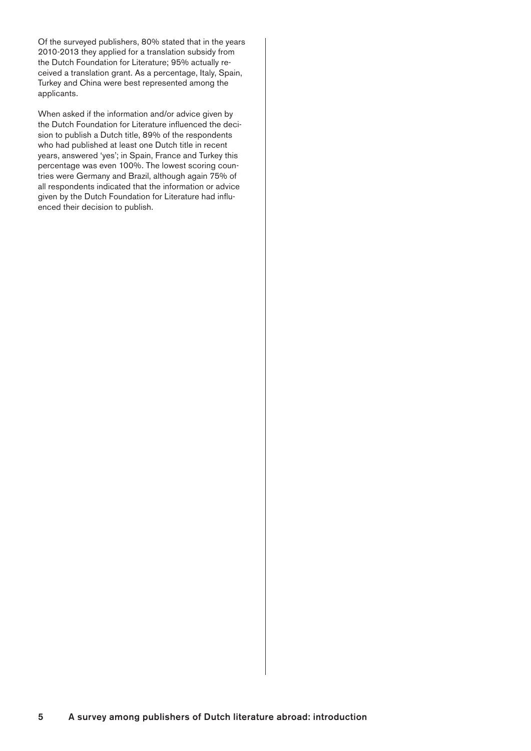Of the surveyed publishers, 80% stated that in the years 2010-2013 they applied for a translation subsidy from the Dutch Foundation for Literature; 95% actually received a translation grant. As a percentage, Italy, Spain, Turkey and China were best represented among the applicants.

When asked if the information and/or advice given by the Dutch Foundation for Literature influenced the decision to publish a Dutch title, 89% of the respondents who had published at least one Dutch title in recent years, answered 'yes'; in Spain, France and Turkey this percentage was even 100%. The lowest scoring countries were Germany and Brazil, although again 75% of all respondents indicated that the information or advice given by the Dutch Foundation for Literature had influenced their decision to publish.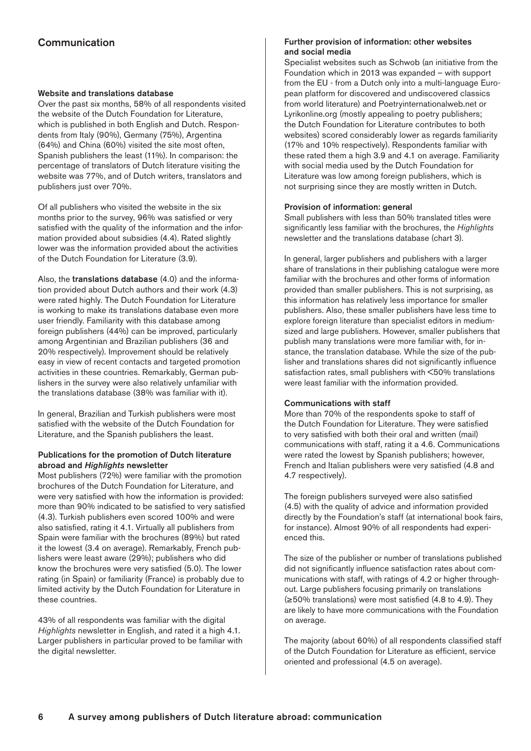# <span id="page-5-0"></span>Communication

# Website and translations database

Over the past six months, 58% of all respondents visited the website of the Dutch Foundation for Literature, which is published in both English and Dutch. Respondents from Italy (90%), Germany (75%), Argentina (64%) and China (60%) visited the site most often, Spanish publishers the least (11%). In comparison: the percentage of translators of Dutch literature visiting the website was 77%, and of Dutch writers, translators and publishers just over 70%.

Of all publishers who visited the website in the six months prior to the survey, 96% was satisfied or very satisfied with the quality of the information and the information provided about subsidies (4.4). Rated slightly lower was the information provided about the activities of the Dutch Foundation for Literature (3.9).

Also, the translations database (4.0) and the information provided about Dutch authors and their work (4.3) were rated highly. The Dutch Foundation for Literature is working to make its translations database even more user friendly. Familiarity with this database among foreign publishers (44%) can be improved, particularly among Argentinian and Brazilian publishers (36 and 20% respectively). Improvement should be relatively easy in view of recent contacts and targeted promotion activities in these countries. Remarkably, German publishers in the survey were also relatively unfamiliar with the translations database (38% was familiar with it).

In general, Brazilian and Turkish publishers were most satisfied with the website of the Dutch Foundation for Literature, and the Spanish publishers the least.

# Publications for the promotion of Dutch literature abroad and *Highlights* newsletter

Most publishers (72%) were familiar with the promotion brochures of the Dutch Foundation for Literature, and were very satisfied with how the information is provided: more than 90% indicated to be satisfied to very satisfied (4.3). Turkish publishers even scored 100% and were also satisfied, rating it 4.1. Virtually all publishers from Spain were familiar with the brochures (89%) but rated it the lowest (3.4 on average). Remarkably, French publishers were least aware (29%); publishers who did know the brochures were very satisfied (5.0). The lower rating (in Spain) or familiarity (France) is probably due to limited activity by the Dutch Foundation for Literature in these countries.

43% of all respondents was familiar with the digital *Highlights* newsletter in English, and rated it a high 4.1. Larger publishers in particular proved to be familiar with the digital newsletter.

# Further provision of information: other websites and social media

Specialist websites such as Schwob (an initiative from the Foundation which in 2013 was expanded – with support from the EU - from a Dutch only into a multi-language European platform for discovered and undiscovered classics from world literature) and Poetryinternationalweb.net or Lyrikonline.org (mostly appealing to poetry publishers; the Dutch Foundation for Literature contributes to both websites) scored considerably lower as regards familiarity (17% and 10% respectively). Respondents familiar with these rated them a high 3.9 and 4.1 on average. Familiarity with social media used by the Dutch Foundation for Literature was low among foreign publishers, which is not surprising since they are mostly written in Dutch.

# Provision of information: general

Small publishers with less than 50% translated titles were significantly less familiar with the brochures, the *Highlights* newsletter and the translations database (chart 3).

In general, larger publishers and publishers with a larger share of translations in their publishing catalogue were more familiar with the brochures and other forms of information provided than smaller publishers. This is not surprising, as this information has relatively less importance for smaller publishers. Also, these smaller publishers have less time to explore foreign literature than specialist editors in mediumsized and large publishers. However, smaller publishers that publish many translations were more familiar with, for instance, the translation database. While the size of the publisher and translations shares did not significantly influence satisfaction rates, small publishers with <50% translations were least familiar with the information provided.

# Communications with staff

More than 70% of the respondents spoke to staff of the Dutch Foundation for Literature. They were satisfied to very satisfied with both their oral and written (mail) communications with staff, rating it a 4.6. Communications were rated the lowest by Spanish publishers; however, French and Italian publishers were very satisfied (4.8 and 4.7 respectively).

The foreign publishers surveyed were also satisfied (4.5) with the quality of advice and information provided directly by the Foundation's staff (at international book fairs, for instance). Almost 90% of all respondents had experienced this.

The size of the publisher or number of translations published did not significantly influence satisfaction rates about communications with staff, with ratings of 4.2 or higher throughout. Large publishers focusing primarily on translations (≥50% translations) were most satisfied (4.8 to 4.9). They are likely to have more communications with the Foundation on average.

The majority (about 60%) of all respondents classified staff of the Dutch Foundation for Literature as efficient, service oriented and professional (4.5 on average).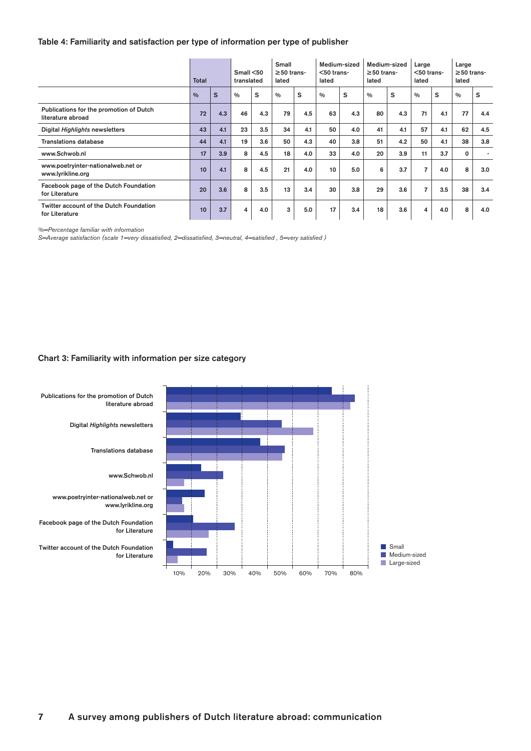# Table 4: Familiarity and satisfaction per type of information per type of publisher

|                                                              | <b>Total</b> |     | Small < 50<br>translated |     | Small<br>$\geq$ 50 trans-<br>lated |     | Medium-sized<br>$<$ 50 trans-<br>lated |     | Medium-sized<br>$\geq$ 50 trans-<br>lated |     | Large<br>$<$ 50 trans-<br>lated |     | Large<br>$\geq$ 50 trans-<br>lated |     |
|--------------------------------------------------------------|--------------|-----|--------------------------|-----|------------------------------------|-----|----------------------------------------|-----|-------------------------------------------|-----|---------------------------------|-----|------------------------------------|-----|
|                                                              | 0/0          | S   | 0/0                      | s   | 0/0                                | S   | $\frac{0}{0}$                          | S   | $\frac{0}{0}$                             | s   | 0/0                             | s   | 0/0                                | s   |
| Publications for the promotion of Dutch<br>literature abroad | 72           | 4.3 | 46                       | 4.3 | 79                                 | 4.5 | 63                                     | 4.3 | 80                                        | 4.3 | 71                              | 4.1 | 77                                 | 4.4 |
| Digital Highlights newsletters                               | 43           | 4.1 | 23                       | 3.5 | 34                                 | 4.1 | 50                                     | 4.0 | 41                                        | 4.1 | 57                              | 4.1 | 62                                 | 4.5 |
| <b>Translations database</b>                                 | 44           | 4.1 | 19                       | 3.6 | 50                                 | 4.3 | 40                                     | 3.8 | 51                                        | 4.2 | 50                              | 4.1 | 38                                 | 3.8 |
| www.Schwob.nl                                                | 17           | 3.9 | 8                        | 4.5 | 18                                 | 4.0 | 33                                     | 4.0 | 20                                        | 3.9 | 11                              | 3.7 | 0                                  |     |
| www.poetryinter-nationalweb.net or<br>www.lyrikline.org      | 10           | 4.1 | 8                        | 4.5 | 21                                 | 4.0 | 10                                     | 5.0 | 6                                         | 3.7 | $\overline{7}$                  | 4.0 | 8                                  | 3.0 |
| Facebook page of the Dutch Foundation<br>for Literature      | 20           | 3.6 | 8                        | 3.5 | 13                                 | 3.4 | 30                                     | 3.8 | 29                                        | 3.6 | 7                               | 3.5 | 38                                 | 3.4 |
| Twitter account of the Dutch Foundation<br>for Literature    | 10           | 3.7 | 4                        | 4.0 | 3                                  | 5.0 | 17                                     | 3.4 | 18                                        | 3.6 | 4                               | 4.0 | 8                                  | 4.0 |

*%=Percentage familiar with information*

*S=Average satisfaction (scale 1=very dissatisfied, 2=dissatisfied, 3=neutral, 4=satisfied , 5=very satisfied )*

### Chart 3: Familiarity with information per size category

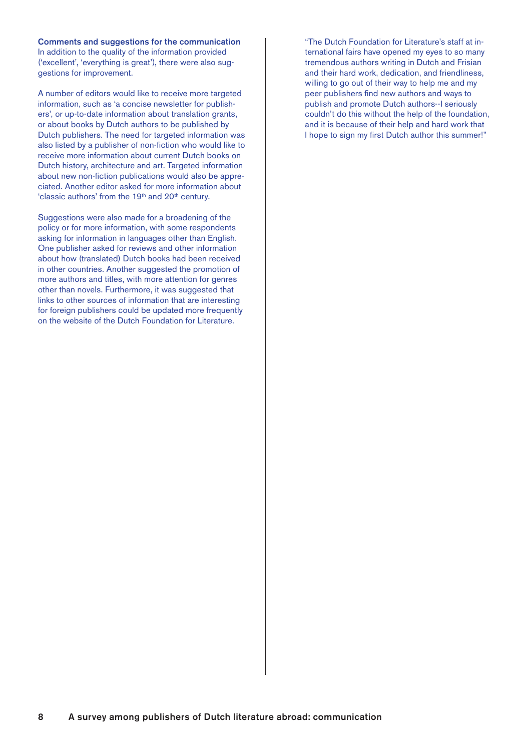Comments and suggestions for the communication

In addition to the quality of the information provided ('excellent', 'everything is great'), there were also suggestions for improvement.

A number of editors would like to receive more targeted information, such as 'a concise newsletter for publishers', or up-to-date information about translation grants, or about books by Dutch authors to be published by Dutch publishers. The need for targeted information was also listed by a publisher of non-fiction who would like to receive more information about current Dutch books on Dutch history, architecture and art. Targeted information about new non-fiction publications would also be appreciated. Another editor asked for more information about 'classic authors' from the 19<sup>th</sup> and 20<sup>th</sup> century.

Suggestions were also made for a broadening of the policy or for more information, with some respondents asking for information in languages other than English. One publisher asked for reviews and other information about how (translated) Dutch books had been received in other countries. Another suggested the promotion of more authors and titles, with more attention for genres other than novels. Furthermore, it was suggested that links to other sources of information that are interesting for foreign publishers could be updated more frequently on the website of the Dutch Foundation for Literature.

"The Dutch Foundation for Literature's staff at international fairs have opened my eyes to so many tremendous authors writing in Dutch and Frisian and their hard work, dedication, and friendliness, willing to go out of their way to help me and my peer publishers find new authors and ways to publish and promote Dutch authors--I seriously couldn't do this without the help of the foundation, and it is because of their help and hard work that I hope to sign my first Dutch author this summer!"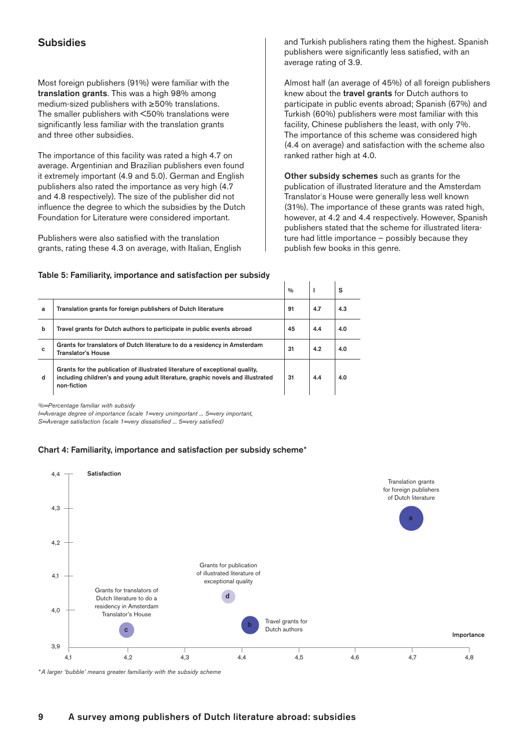# <span id="page-8-0"></span>**Subsidies**

Most foreign publishers (91%) were familiar with the translation grants. This was a high 98% among medium-sized publishers with ≥50% translations. The smaller publishers with <50% translations were significantly less familiar with the translation grants and three other subsidies.

The importance of this facility was rated a high 4.7 on average. Argentinian and Brazilian publishers even found it extremely important (4.9 and 5.0). German and English publishers also rated the importance as very high (4.7 and 4.8 respectively). The size of the publisher did not influence the degree to which the subsidies by the Dutch Foundation for Literature were considered important.

Publishers were also satisfied with the translation grants, rating these 4.3 on average, with Italian, English and Turkish publishers rating them the highest. Spanish publishers were significantly less satisfied, with an average rating of 3.9.

Almost half (an average of 45%) of all foreign publishers knew about the travel grants for Dutch authors to participate in public events abroad; Spanish (67%) and Turkish (60%) publishers were most familiar with this facility, Chinese publishers the least, with only 7%. The importance of this scheme was considered high (4.4 on average) and satisfaction with the scheme also ranked rather high at 4.0.

Other subsidy schemes such as grants for the publication of illustrated literature and the Amsterdam Translator´s House were generally less well known (31%). The importance of these grants was rated high, however, at 4.2 and 4.4 respectively. However, Spanish publishers stated that the scheme for illustrated literature had little importance – possibly because they publish few books in this genre.

| Table 5: Familiarity, importance and satisfaction per subsidy |  |  |  |
|---------------------------------------------------------------|--|--|--|
|---------------------------------------------------------------|--|--|--|

|   |                                                                                                                                                                                | $\frac{0}{0}$ |     | s   |
|---|--------------------------------------------------------------------------------------------------------------------------------------------------------------------------------|---------------|-----|-----|
| a | Translation grants for foreign publishers of Dutch literature                                                                                                                  | 91            | 4.7 | 4.3 |
| b | Travel grants for Dutch authors to participate in public events abroad                                                                                                         | 45            | 4.4 | 4.0 |
| c | Grants for translators of Dutch literature to do a residency in Amsterdam<br>Translator's House                                                                                | 31            | 4.2 | 4.0 |
| d | Grants for the publication of illustrated literature of exceptional quality.<br>including children's and young adult literature, graphic novels and illustrated<br>non-fiction | 31            | 4.4 | 4.0 |

*%=Percentage familiar with subsidy* 

*I=Average degree of importance (scale 1=very unimportant ... 5=very important, S=Average satisfaction (scale 1=very dissatisfied ... 5=very satisfied)*

# Chart 4: Familiarity, importance and satisfaction per subsidy scheme\*



 $\overline{\phantom{a}}$ 

 $\overline{1}$ 

 $\overline{\phantom{a}}$ 

*\*A larger 'bubble' means greater familiarity with the subsidy scheme*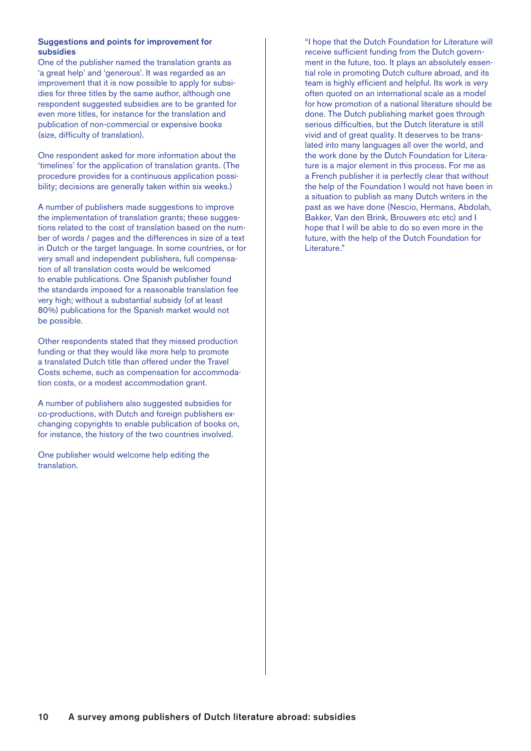# Suggestions and points for improvement for subsidies

One of the publisher named the translation grants as 'a great help' and 'generous'. It was regarded as an improvement that it is now possible to apply for subsidies for three titles by the same author, although one respondent suggested subsidies are to be granted for even more titles, for instance for the translation and publication of non-commercial or expensive books (size, difficulty of translation).

One respondent asked for more information about the 'timelines' for the application of translation grants. (The procedure provides for a continuous application possibility; decisions are generally taken within six weeks.)

A number of publishers made suggestions to improve the implementation of translation grants; these suggestions related to the cost of translation based on the number of words / pages and the differences in size of a text in Dutch or the target language. In some countries, or for very small and independent publishers, full compensation of all translation costs would be welcomed to enable publications. One Spanish publisher found the standards imposed for a reasonable translation fee very high; without a substantial subsidy (of at least 80%) publications for the Spanish market would not be possible.

Other respondents stated that they missed production funding or that they would like more help to promote a translated Dutch title than offered under the Travel Costs scheme, such as compensation for accommodation costs, or a modest accommodation grant.

A number of publishers also suggested subsidies for co-productions, with Dutch and foreign publishers exchanging copyrights to enable publication of books on, for instance, the history of the two countries involved.

One publisher would welcome help editing the translation.

"I hope that the Dutch Foundation for Literature will receive sufficient funding from the Dutch government in the future, too. It plays an absolutely essential role in promoting Dutch culture abroad, and its team is highly efficient and helpful. Its work is very often quoted on an international scale as a model for how promotion of a national literature should be done. The Dutch publishing market goes through serious difficulties, but the Dutch literature is still vivid and of great quality. It deserves to be translated into many languages all over the world, and the work done by the Dutch Foundation for Literature is a major element in this process. For me as a French publisher it is perfectly clear that without the help of the Foundation I would not have been in a situation to publish as many Dutch writers in the past as we have done (Nescio, Hermans, Abdolah, Bakker, Van den Brink, Brouwers etc etc) and I hope that I will be able to do so even more in the future, with the help of the Dutch Foundation for Literature."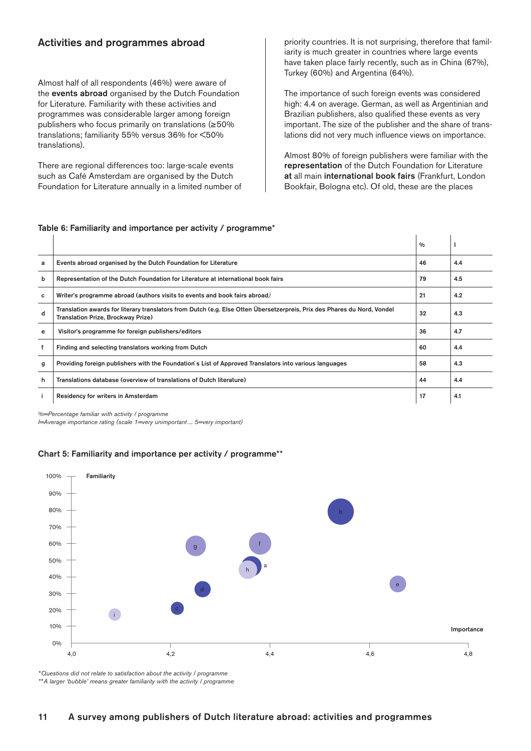# <span id="page-10-0"></span>Activities and programmes abroad

Almost half of all respondents (46%) were aware of the events abroad organised by the Dutch Foundation for Literature. Familiarity with these activities and programmes was considerable larger among foreign publishers who focus primarily on translations (≥50% translations; familiarity 55% versus 36% for <50% translations).

There are regional differences too: large-scale events such as Café Amsterdam are organised by the Dutch Foundation for Literature annually in a limited number of priority countries. It is not surprising, therefore that familiarity is much greater in countries where large events have taken place fairly recently, such as in China (67%), Turkey (60%) and Argentina (64%).

The importance of such foreign events was considered high: 4.4 on average. German, as well as Argentinian and Brazilian publishers, also qualified these events as very important. The size of the publisher and the share of translations did not very much influence views on importance.

Almost 80% of foreign publishers were familiar with the representation of the Dutch Foundation for Literature at all main international book fairs (Frankfurt, London Bookfair, Bologna etc). Of old, these are the places

|   |                                                                                                                                                                | $\frac{0}{0}$ |     |
|---|----------------------------------------------------------------------------------------------------------------------------------------------------------------|---------------|-----|
| a | Events abroad organised by the Dutch Foundation for Literature                                                                                                 | 46            | 4.4 |
| b | Representation of the Dutch Foundation for Literature at international book fairs                                                                              | 79            | 4.5 |
| с | Writer's programme abroad (authors visits to events and book fairs abroad)                                                                                     | 21            | 4.2 |
| d | Translation awards for literary translators from Dutch (e.g. Else Otten Übersetzerpreis, Prix des Phares du Nord, Vondel<br>Translation Prize, Brockway Prize) | 32            | 4.3 |
| e | Visitor's programme for foreign publishers/editors                                                                                                             | 36            | 4.7 |
|   | Finding and selecting translators working from Dutch                                                                                                           | 60            | 4.4 |
| g | Providing foreign publishers with the Foundation's List of Approved Translators into various languages                                                         | 58            | 4.3 |
| h | Translations database (overview of translations of Dutch literature)                                                                                           | 44            | 4.4 |
|   | Residency for writers in Amsterdam                                                                                                                             | 17            | 4.1 |

# Table 6: Familiarity and importance per activity / programme\*

*%=Percentage familiar with activity / programme*

*I=Average importance rating (scale 1=very unimportant ... 5=very important)*

# Chart 5: Familiarity and importance per activity / programme\*\*



*\*Questions did not relate to satisfaction about the activity / programme \*\*A larger 'bubble' means greater familiarity with the activity / programme*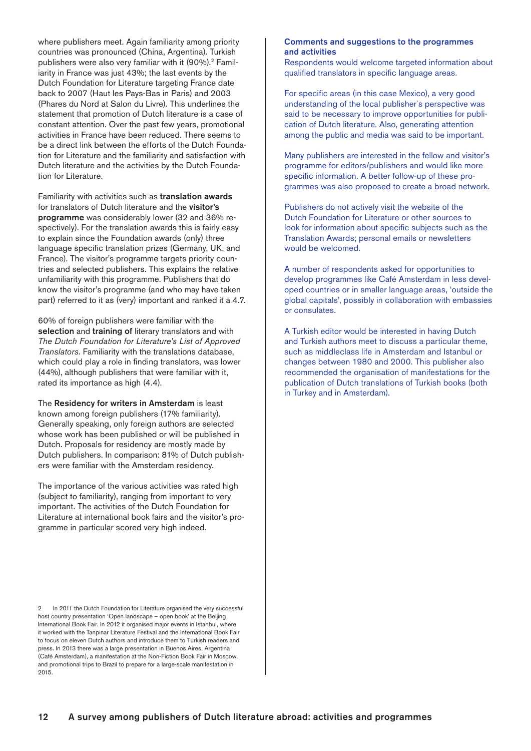where publishers meet. Again familiarity among priority countries was pronounced (China, Argentina). Turkish publishers were also very familiar with it (90%).2 Familiarity in France was just 43%; the last events by the Dutch Foundation for Literature targeting France date back to 2007 (Haut les Pays-Bas in Paris) and 2003 (Phares du Nord at Salon du Livre). This underlines the statement that promotion of Dutch literature is a case of constant attention. Over the past few years, promotional activities in France have been reduced. There seems to be a direct link between the efforts of the Dutch Foundation for Literature and the familiarity and satisfaction with Dutch literature and the activities by the Dutch Foundation for Literature.

Familiarity with activities such as translation awards for translators of Dutch literature and the visitor's programme was considerably lower (32 and 36% respectively). For the translation awards this is fairly easy to explain since the Foundation awards (only) three language specific translation prizes (Germany, UK, and France). The visitor's programme targets priority countries and selected publishers. This explains the relative unfamiliarity with this programme. Publishers that do know the visitor's programme (and who may have taken part) referred to it as (very) important and ranked it a 4.7.

60% of foreign publishers were familiar with the selection and training of literary translators and with *The Dutch Foundation for Literature's List of Approved Translators*. Familiarity with the translations database, which could play a role in finding translators, was lower (44%), although publishers that were familiar with it, rated its importance as high (4.4).

The Residency for writers in Amsterdam is least known among foreign publishers (17% familiarity). Generally speaking, only foreign authors are selected whose work has been published or will be published in Dutch. Proposals for residency are mostly made by Dutch publishers. In comparison: 81% of Dutch publishers were familiar with the Amsterdam residency.

The importance of the various activities was rated high (subject to familiarity), ranging from important to very important. The activities of the Dutch Foundation for Literature at international book fairs and the visitor's programme in particular scored very high indeed.

### 2 In 2011 the Dutch Foundation for Literature organised the very successful host country presentation 'Open landscape – open book' at the Beijing International Book Fair. In 2012 it organised major events in Istanbul, where it worked with the Tanpinar Literature Festival and the International Book Fair to focus on eleven Dutch authors and introduce them to Turkish readers and press. In 2013 there was a large presentation in Buenos Aires, Argentina (Café Amsterdam), a manifestation at the Non-Fiction Book Fair in Moscow, and promotional trips to Brazil to prepare for a large-scale manifestation in 2015.

# Comments and suggestions to the programmes and activities

Respondents would welcome targeted information about qualified translators in specific language areas.

For specific areas (in this case Mexico), a very good understanding of the local publisher´s perspective was said to be necessary to improve opportunities for publication of Dutch literature. Also, generating attention among the public and media was said to be important.

Many publishers are interested in the fellow and visitor's programme for editors/publishers and would like more specific information. A better follow-up of these programmes was also proposed to create a broad network.

Publishers do not actively visit the website of the Dutch Foundation for Literature or other sources to look for information about specific subjects such as the Translation Awards; personal emails or newsletters would be welcomed.

A number of respondents asked for opportunities to develop programmes like Café Amsterdam in less developed countries or in smaller language areas, 'outside the global capitals', possibly in collaboration with embassies or consulates.

A Turkish editor would be interested in having Dutch and Turkish authors meet to discuss a particular theme, such as middleclass life in Amsterdam and Istanbul or changes between 1980 and 2000. This publisher also recommended the organisation of manifestations for the publication of Dutch translations of Turkish books (both in Turkey and in Amsterdam).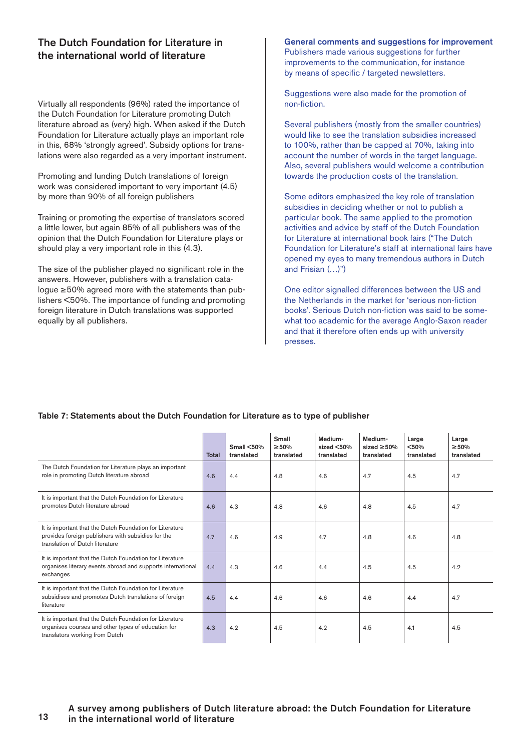# <span id="page-12-0"></span>The Dutch Foundation for Literature in the international world of literature

Virtually all respondents (96%) rated the importance of the Dutch Foundation for Literature promoting Dutch literature abroad as (very) high. When asked if the Dutch Foundation for Literature actually plays an important role in this, 68% 'strongly agreed'. Subsidy options for translations were also regarded as a very important instrument.

Promoting and funding Dutch translations of foreign work was considered important to very important (4.5) by more than 90% of all foreign publishers

Training or promoting the expertise of translators scored a little lower, but again 85% of all publishers was of the opinion that the Dutch Foundation for Literature plays or should play a very important role in this (4.3).

The size of the publisher played no significant role in the answers. However, publishers with a translation catalogue ≥ 50% agreed more with the statements than publishers <50%. The importance of funding and promoting foreign literature in Dutch translations was supported equally by all publishers.

General comments and suggestions for improvement Publishers made various suggestions for further improvements to the communication, for instance by means of specific / targeted newsletters.

Suggestions were also made for the promotion of non-fiction.

Several publishers (mostly from the smaller countries) would like to see the translation subsidies increased to 100%, rather than be capped at 70%, taking into account the number of words in the target language. Also, several publishers would welcome a contribution towards the production costs of the translation.

Some editors emphasized the key role of translation subsidies in deciding whether or not to publish a particular book. The same applied to the promotion activities and advice by staff of the Dutch Foundation for Literature at international book fairs ("The Dutch Foundation for Literature's staff at international fairs have opened my eyes to many tremendous authors in Dutch and Frisian (…)")

One editor signalled differences between the US and the Netherlands in the market for 'serious non-fiction books'. Serious Dutch non-fiction was said to be somewhat too academic for the average Anglo-Saxon reader and that it therefore often ends up with university presses.

### Total  $Small < 50%$ translated Small ≥ 50% translated Medium $sized < 50%$ translated Mediumsized ≥ 50% translated Large <50% translated Large ≥ 50% translated The Dutch Foundation for Literature plays an important role in promoting Dutch literature abroad 4.6 4.4 4.8 4.6 4.7 4.5 4.7 It is important that the Dutch Foundation for Literature promotes Dutch literature abroad 4.6 4.3 4.8 4.8 4.8 4.8 4.5 4.7 It is important that the Dutch Foundation for Literature provides foreign publishers with subsidies for the translation of Dutch literature 4.7 4.6 4.9 4.7 4.8 4.6 4.8 It is important that the Dutch Foundation for Literature organises literary events abroad and supports international exchanges 4.4 | 4.3 | 4.6 | 4.4 | 4.5 | 4.5 | 4.2 It is important that the Dutch Foundation for Literature subsidises and promotes Dutch translations of foreign literature 4.5 4.4 4.6 4.6 4.6 4.4 4.7 It is important that the Dutch Foundation for Literature organises courses and other types of education for translators working from Dutch 4.3 | 4.2 | 4.5 | 4.5 | 4.5 | 4.1 | 4.5

# Table 7: Statements about the Dutch Foundation for Literature as to type of publisher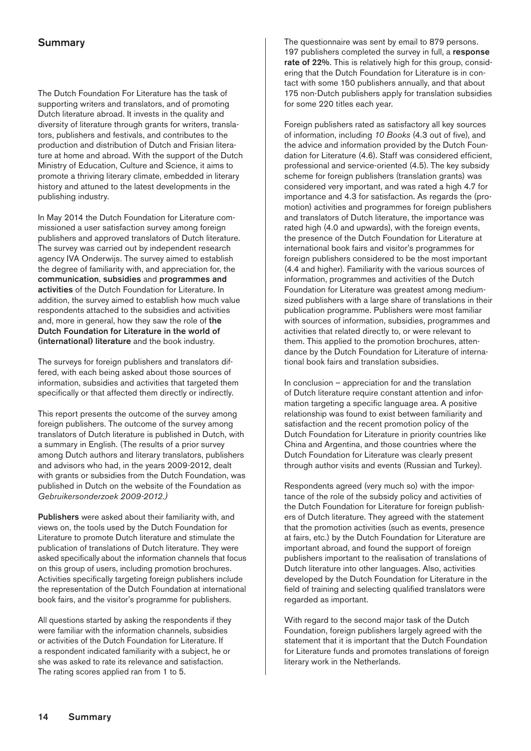# <span id="page-13-0"></span>**Summary**

The Dutch Foundation For Literature has the task of supporting writers and translators, and of promoting Dutch literature abroad. It invests in the quality and diversity of literature through grants for writers, translators, publishers and festivals, and contributes to the production and distribution of Dutch and Frisian literature at home and abroad. With the support of the Dutch Ministry of Education, Culture and Science, it aims to promote a thriving literary climate, embedded in literary history and attuned to the latest developments in the publishing industry.

In May 2014 the Dutch Foundation for Literature commissioned a user satisfaction survey among foreign publishers and approved translators of Dutch literature. The survey was carried out by independent research agency IVA Onderwijs. The survey aimed to establish the degree of familiarity with, and appreciation for, the communication, subsidies and programmes and activities of the Dutch Foundation for Literature. In addition, the survey aimed to establish how much value respondents attached to the subsidies and activities and, more in general, how they saw the role of the Dutch Foundation for Literature in the world of (international) literature and the book industry.

The surveys for foreign publishers and translators differed, with each being asked about those sources of information, subsidies and activities that targeted them specifically or that affected them directly or indirectly.

This report presents the outcome of the survey among foreign publishers. The outcome of the survey among translators of Dutch literature is published in Dutch, with a summary in English. (The results of a prior survey among Dutch authors and literary translators, publishers and advisors who had, in the years 2009-2012, dealt with grants or subsidies from the Dutch Foundation, was published in Dutch on the website of the Foundation as *[Gebruikersonderzoek 2009-2012](http://www.letterenfonds.nl/nl/publicatie/86/gebruikersonderzoek-2009-2012).)*

Publishers were asked about their familiarity with, and views on, the tools used by the Dutch Foundation for Literature to promote Dutch literature and stimulate the publication of translations of Dutch literature. They were asked specifically about the information channels that focus on this group of users, including promotion brochures. Activities specifically targeting foreign publishers include the representation of the Dutch Foundation at international book fairs, and the visitor's programme for publishers.

All questions started by asking the respondents if they were familiar with the information channels, subsidies or activities of the Dutch Foundation for Literature. If a respondent indicated familiarity with a subject, he or she was asked to rate its relevance and satisfaction. The rating scores applied ran from 1 to 5.

The questionnaire was sent by email to 879 persons. 197 publishers completed the survey in full, a response rate of 22%. This is relatively high for this group, considering that the Dutch Foundation for Literature is in contact with some 150 publishers annually, and that about 175 non-Dutch publishers apply for translation subsidies for some 220 titles each year.

Foreign publishers rated as satisfactory all key sources of information, including *10 Books* (4.3 out of five), and the advice and information provided by the Dutch Foundation for Literature (4.6). Staff was considered efficient, professional and service-oriented (4.5). The key subsidy scheme for foreign publishers (translation grants) was considered very important, and was rated a high 4.7 for importance and 4.3 for satisfaction. As regards the (promotion) activities and programmes for foreign publishers and translators of Dutch literature, the importance was rated high (4.0 and upwards), with the foreign events, the presence of the Dutch Foundation for Literature at international book fairs and visitor's programmes for foreign publishers considered to be the most important (4.4 and higher). Familiarity with the various sources of information, programmes and activities of the Dutch Foundation for Literature was greatest among mediumsized publishers with a large share of translations in their publication programme. Publishers were most familiar with sources of information, subsidies, programmes and activities that related directly to, or were relevant to them. This applied to the promotion brochures, attendance by the Dutch Foundation for Literature of international book fairs and translation subsidies.

In conclusion – appreciation for and the translation of Dutch literature require constant attention and information targeting a specific language area. A positive relationship was found to exist between familiarity and satisfaction and the recent promotion policy of the Dutch Foundation for Literature in priority countries like China and Argentina, and those countries where the Dutch Foundation for Literature was clearly present through author visits and events (Russian and Turkey).

Respondents agreed (very much so) with the importance of the role of the subsidy policy and activities of the Dutch Foundation for Literature for foreign publishers of Dutch literature. They agreed with the statement that the promotion activities (such as events, presence at fairs, etc.) by the Dutch Foundation for Literature are important abroad, and found the support of foreign publishers important to the realisation of translations of Dutch literature into other languages. Also, activities developed by the Dutch Foundation for Literature in the field of training and selecting qualified translators were regarded as important.

With regard to the second major task of the Dutch Foundation, foreign publishers largely agreed with the statement that it is important that the Dutch Foundation for Literature funds and promotes translations of foreign literary work in the Netherlands.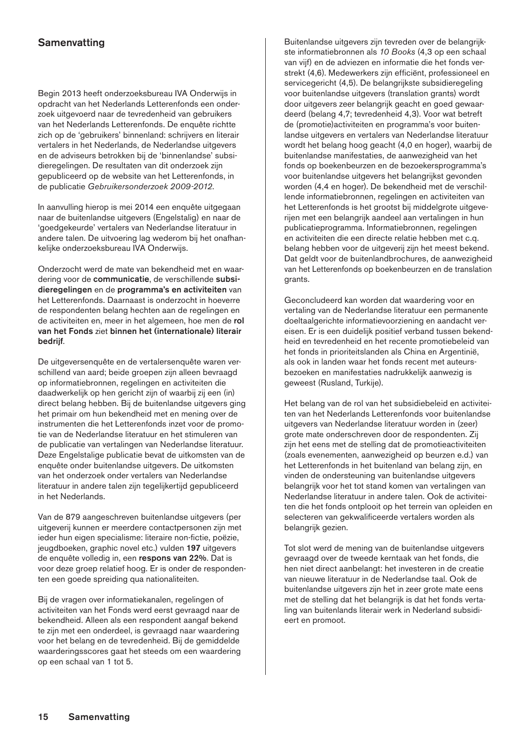# <span id="page-14-0"></span>**Samenvatting**

Begin 2013 heeft onderzoeksbureau IVA Onderwijs in opdracht van het Nederlands Letterenfonds een onderzoek uitgevoerd naar de tevredenheid van gebruikers van het Nederlands Letterenfonds. De enquête richtte zich op de 'gebruikers' binnenland: schrijvers en literair vertalers in het Nederlands, de Nederlandse uitgevers en de adviseurs betrokken bij de 'binnenlandse' subsidieregelingen. De resultaten van dit onderzoek zijn gepubliceerd op de website van het Letterenfonds, in de publicatie *[Gebruikersonderzoek 2009-2012](http://www.letterenfonds.nl/nl/publicatie/86/gebruikersonderzoek-2009-2012)*.

In aanvulling hierop is mei 2014 een enquête uitgegaan naar de buitenlandse uitgevers (Engelstalig) en naar de 'goedgekeurde' vertalers van Nederlandse literatuur in andere talen. De uitvoering lag wederom bij het onafhankelijke onderzoeksbureau IVA Onderwijs.

Onderzocht werd de mate van bekendheid met en waardering voor de communicatie, de verschillende subsidieregelingen en de programma's en activiteiten van het Letterenfonds. Daarnaast is onderzocht in hoeverre de respondenten belang hechten aan de regelingen en de activiteiten en, meer in het algemeen, hoe men de rol van het Fonds ziet binnen het (internationale) literair bedrijf.

De uitgeversenquête en de vertalersenquête waren verschillend van aard; beide groepen zijn alleen bevraagd op informatiebronnen, regelingen en activiteiten die daadwerkelijk op hen gericht zijn of waarbij zij een (in) direct belang hebben. Bij de buitenlandse uitgevers ging het primair om hun bekendheid met en mening over de instrumenten die het Letterenfonds inzet voor de promotie van de Nederlandse literatuur en het stimuleren van de publicatie van vertalingen van Nederlandse literatuur. Deze Engelstalige publicatie bevat de uitkomsten van de enquête onder buitenlandse uitgevers. De uitkomsten van het onderzoek onder vertalers van Nederlandse literatuur in andere talen zijn tegelijkertijd gepubliceerd in het Nederlands.

Van de 879 aangeschreven buitenlandse uitgevers (per uitgeverij kunnen er meerdere contactpersonen zijn met ieder hun eigen specialisme: literaire non-fictie, poëzie, jeugdboeken, graphic novel etc.) vulden 197 uitgevers de enquête volledig in, een respons van 22%. Dat is voor deze groep relatief hoog. Er is onder de respondenten een goede spreiding qua nationaliteiten.

Bij de vragen over informatiekanalen, regelingen of activiteiten van het Fonds werd eerst gevraagd naar de bekendheid. Alleen als een respondent aangaf bekend te zijn met een onderdeel, is gevraagd naar waardering voor het belang en de tevredenheid. Bij de gemiddelde waarderingsscores gaat het steeds om een waardering op een schaal van 1 tot 5.

Buitenlandse uitgevers zijn tevreden over de belangrijkste informatiebronnen als *10 Books* (4,3 op een schaal van vijf) en de adviezen en informatie die het fonds verstrekt (4,6). Medewerkers zijn efficiënt, professioneel en servicegericht (4,5). De belangrijkste subsidieregeling voor buitenlandse uitgevers (translation grants) wordt door uitgevers zeer belangrijk geacht en goed gewaardeerd (belang 4,7; tevredenheid 4,3). Voor wat betreft de (promotie)activiteiten en programma's voor buitenlandse uitgevers en vertalers van Nederlandse literatuur wordt het belang hoog geacht (4,0 en hoger), waarbij de buitenlandse manifestaties, de aanwezigheid van het fonds op boekenbeurzen en de bezoekersprogramma's voor buitenlandse uitgevers het belangrijkst gevonden worden (4,4 en hoger). De bekendheid met de verschillende informatiebronnen, regelingen en activiteiten van het Letterenfonds is het grootst bij middelgrote uitgeverijen met een belangrijk aandeel aan vertalingen in hun publicatieprogramma. Informatiebronnen, regelingen en activiteiten die een directe relatie hebben met c.q. belang hebben voor de uitgeverij zijn het meest bekend. Dat geldt voor de buitenlandbrochures, de aanwezigheid van het Letterenfonds op boekenbeurzen en de translation grants.

Geconcludeerd kan worden dat waardering voor en vertaling van de Nederlandse literatuur een permanente doeltaalgerichte informatievoorziening en aandacht vereisen. Er is een duidelijk positief verband tussen bekendheid en tevredenheid en het recente promotiebeleid van het fonds in prioriteitslanden als China en Argentinië, als ook in landen waar het fonds recent met auteursbezoeken en manifestaties nadrukkelijk aanwezig is geweest (Rusland, Turkije).

Het belang van de rol van het subsidiebeleid en activiteiten van het Nederlands Letterenfonds voor buitenlandse uitgevers van Nederlandse literatuur worden in (zeer) grote mate onderschreven door de respondenten. Zij zijn het eens met de stelling dat de promotieactiviteiten (zoals evenementen, aanwezigheid op beurzen e.d.) van het Letterenfonds in het buitenland van belang zijn, en vinden de ondersteuning van buitenlandse uitgevers belangrijk voor het tot stand komen van vertalingen van Nederlandse literatuur in andere talen. Ook de activiteiten die het fonds ontplooit op het terrein van opleiden en selecteren van gekwalificeerde vertalers worden als belangrijk gezien.

Tot slot werd de mening van de buitenlandse uitgevers gevraagd over de tweede kerntaak van het fonds, die hen niet direct aanbelangt: het investeren in de creatie van nieuwe literatuur in de Nederlandse taal. Ook de buitenlandse uitgevers zijn het in zeer grote mate eens met de stelling dat het belangrijk is dat het fonds vertaling van buitenlands literair werk in Nederland subsidieert en promoot.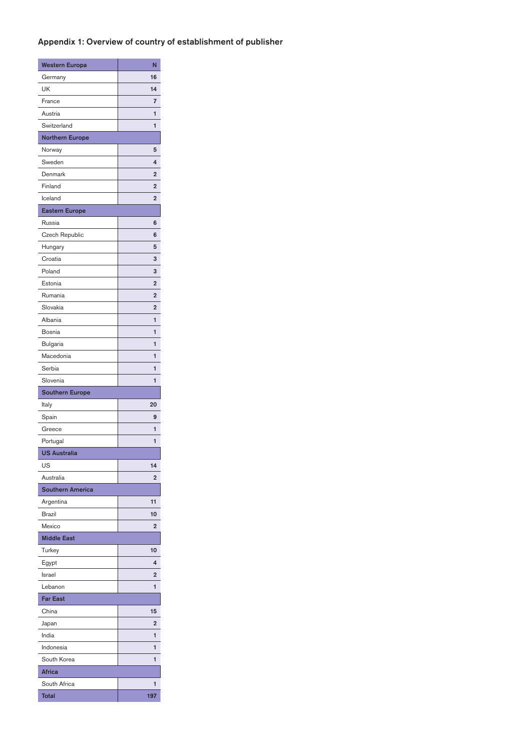# <span id="page-15-0"></span>Appendix 1: Overview of country of establishment of publisher

| <b>Western Europa</b>   | N              |
|-------------------------|----------------|
| Germany                 | 16             |
| UK                      | 14             |
| France                  | 7              |
| Austria                 | 1              |
| Switzerland             | 1              |
| <b>Northern Europe</b>  |                |
| Norway                  | 5              |
| Sweden                  | 4              |
| Denmark                 | $\overline{2}$ |
| Finland                 | $\overline{2}$ |
| Iceland                 | $\overline{2}$ |
| <b>Eastern Europe</b>   |                |
| Russia                  | 6              |
| Czech Republic          | 6              |
| Hungary                 | 5              |
| Croatia                 | 3              |
| Poland                  | 3              |
| Estonia                 | $\overline{2}$ |
| Rumania                 | $\overline{2}$ |
| Slovakia                | $\overline{2}$ |
| Albania                 | 1              |
| Bosnia                  | 1              |
| Bulgaria                | 1              |
| Macedonia               | 1              |
| Serbia                  | 1              |
| Slovenia                | 1              |
| <b>Southern Europe</b>  |                |
| Italy                   | 20             |
| Spain                   | 9              |
| Greece                  | 1              |
| Portugal                | 1              |
| <b>US Australia</b>     |                |
| US                      | 14             |
| Australia               | $\overline{2}$ |
| <b>Southern America</b> |                |
| Argentina               | 11             |
| <b>Brazil</b>           | 10             |
| Mexico                  | $\overline{2}$ |
| <b>Middle East</b>      |                |
| Turkey                  | 10             |
| Egypt                   | 4              |
| Israel                  | $\overline{2}$ |
| Lebanon                 | 1              |
| <b>Far East</b>         |                |
| China                   | 15             |
|                         | $\overline{2}$ |
| Japan<br>India          | 1              |
| Indonesia               | 1              |
| South Korea             | 1              |
| <b>Africa</b>           |                |
| South Africa            |                |
|                         |                |
| Total                   | 1<br>197       |